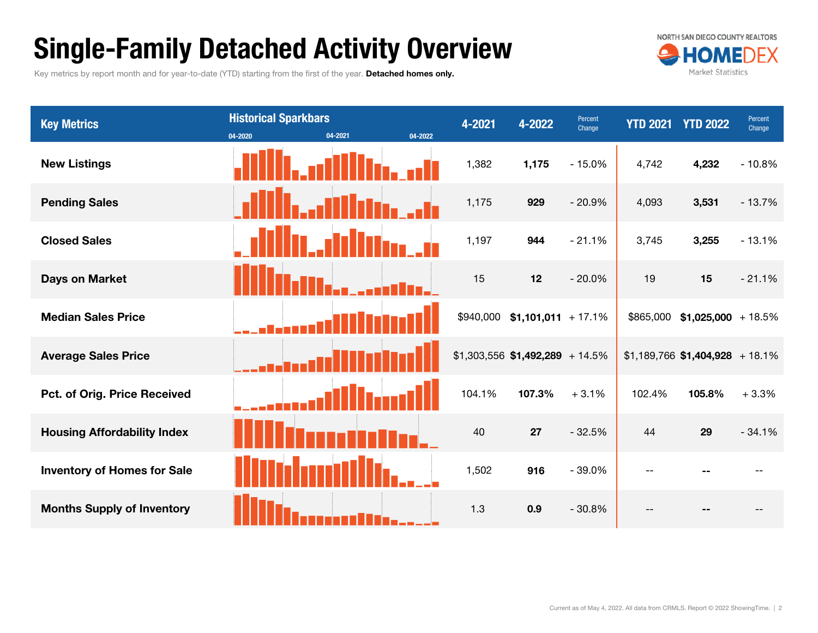# Single-Family Detached Activity Overview

Key metrics by report month and for year-to-date (YTD) starting from the first of the year. Detached homes only.



| <b>Key Metrics</b>                  | <b>Historical Sparkbars</b><br>04-2021<br>04-2020 | 04-2022 | 4-2021 | 4-2022                           | Percent<br>Change | <b>YTD 2021</b> | <b>YTD 2022</b>                  | Percent<br>Change |
|-------------------------------------|---------------------------------------------------|---------|--------|----------------------------------|-------------------|-----------------|----------------------------------|-------------------|
| <b>New Listings</b>                 |                                                   |         | 1,382  | 1,175                            | $-15.0%$          | 4,742           | 4,232                            | $-10.8%$          |
| <b>Pending Sales</b>                |                                                   |         | 1,175  | 929                              | $-20.9%$          | 4,093           | 3,531                            | $-13.7%$          |
| <b>Closed Sales</b>                 |                                                   |         | 1,197  | 944                              | $-21.1%$          | 3,745           | 3,255                            | $-13.1%$          |
| <b>Days on Market</b>               |                                                   |         | 15     | 12                               | $-20.0%$          | 19              | 15                               | $-21.1%$          |
| <b>Median Sales Price</b>           |                                                   |         |        | $$940,000$ \$1,101,011 + 17.1%   |                   | \$865,000       | $$1,025,000 + 18.5\%$            |                   |
| <b>Average Sales Price</b>          |                                                   |         |        | $$1,303,556$ \$1,492,289 + 14.5% |                   |                 | $$1,189,766$ \$1,404,928 + 18.1% |                   |
| <b>Pct. of Orig. Price Received</b> |                                                   |         | 104.1% | 107.3%                           | $+3.1%$           | 102.4%          | 105.8%                           | $+3.3%$           |
| <b>Housing Affordability Index</b>  |                                                   |         | 40     | 27                               | $-32.5%$          | 44              | 29                               | $-34.1%$          |
| <b>Inventory of Homes for Sale</b>  |                                                   |         | 1,502  | 916                              | $-39.0%$          | $-$             |                                  |                   |
| <b>Months Supply of Inventory</b>   |                                                   |         | 1.3    | 0.9                              | $-30.8%$          |                 |                                  |                   |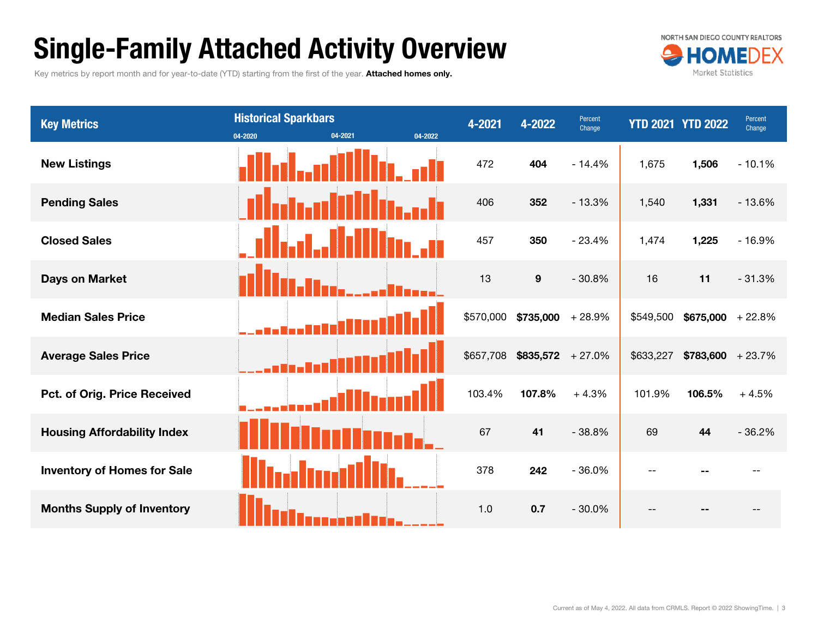# Single-Family Attached Activity Overview

Key metrics by report month and for year-to-date (YTD) starting from the first of the year. Attached homes only.



| <b>Key Metrics</b>                 | <b>Historical Sparkbars</b><br>04-2021<br>04-2020 | 04-2022 | 4-2021    | 4-2022              | Percent<br>Change |                   | <b>YTD 2021 YTD 2022</b> | Percent<br>Change |
|------------------------------------|---------------------------------------------------|---------|-----------|---------------------|-------------------|-------------------|--------------------------|-------------------|
| <b>New Listings</b>                |                                                   |         | 472       | 404                 | $-14.4%$          | 1,675             | 1,506                    | $-10.1%$          |
| <b>Pending Sales</b>               |                                                   |         | 406       | 352                 | $-13.3%$          | 1,540             | 1,331                    | $-13.6%$          |
| <b>Closed Sales</b>                |                                                   |         | 457       | 350                 | $-23.4%$          | 1,474             | 1,225                    | $-16.9%$          |
| <b>Days on Market</b>              |                                                   |         | 13        | 9                   | $-30.8%$          | 16                | 11                       | $-31.3%$          |
| <b>Median Sales Price</b>          |                                                   |         | \$570,000 | $$735,000 + 28.9\%$ |                   | \$549,500         | $$675,000 + 22.8\%$      |                   |
| <b>Average Sales Price</b>         |                                                   |         | \$657,708 | $$835,572 + 27.0\%$ |                   | \$633,227         | $$783,600 + 23.7\%$      |                   |
| Pct. of Orig. Price Received       |                                                   |         | 103.4%    | 107.8%              | $+4.3%$           | 101.9%            | 106.5%                   | $+4.5%$           |
| <b>Housing Affordability Index</b> |                                                   |         | 67        | 41                  | $-38.8%$          | 69                | 44                       | $-36.2%$          |
| <b>Inventory of Homes for Sale</b> |                                                   |         | 378       | 242                 | $-36.0%$          | $\qquad \qquad -$ |                          |                   |
| <b>Months Supply of Inventory</b>  |                                                   |         | 1.0       | 0.7                 | $-30.0%$          |                   |                          |                   |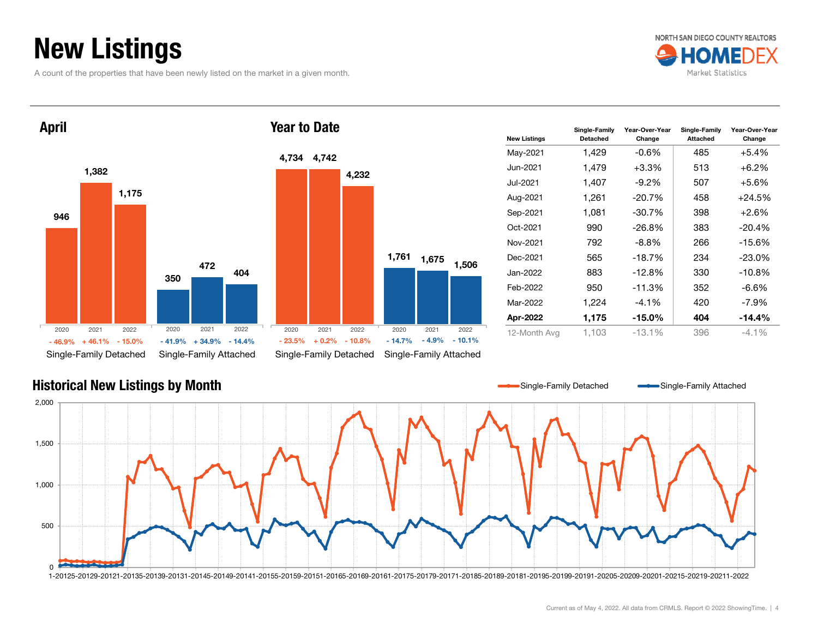# New Listings

A count of the properties that have been newly listed on the market in a given month.





### 4,734 4,742 1,761 1,675 1,506 4,232 Single-Family Detached Single-Family Attached Year to Date $\%$  - 15.0% - 41.9% + 34.9% - 14.4% - 23.5% + 0.2% - 10.8% - 14.7% - 4.9% - 10.1% 20202021 2022 2020 2021 2022

| <b>New Listings</b> | Single-Family<br>Detached | Year-Over-Year<br>Change | Single-Family<br><b>Attached</b> | Year-Over-Year<br>Change |
|---------------------|---------------------------|--------------------------|----------------------------------|--------------------------|
| May-2021            | 1,429                     | -0.6%                    | 485                              | +5.4%                    |
| Jun-2021            | 1,479                     | +3.3%                    | 513                              | $+6.2%$                  |
| Jul-2021            | 1,407                     | -9.2%                    | 507                              | +5.6%                    |
| Aug-2021            | 1,261                     | $-20.7%$                 | 458                              | $+24.5%$                 |
| Sep-2021            | 1,081                     | $-30.7\%$                | 398                              | +2.6%                    |
| Oct-2021            | 990                       | $-26.8\%$                | 383                              | $-20.4%$                 |
| Nov-2021            | 792                       | -8.8%                    | 266                              | -15.6%                   |
| Dec-2021            | 565                       | $-18.7%$                 | 234                              | $-23.0\%$                |
| Jan-2022            | 883                       | $-12.8%$                 | 330                              | $-10.8%$                 |
| Feb-2022            | 950                       | $-11.3%$                 | 352                              | $-6.6\%$                 |
| Mar-2022            | 1,224                     | $-4.1%$                  | 420                              | -7.9%                    |
| Apr-2022            | 1,175                     | -15.0%                   | 404                              | $-14.4\%$                |
| 12-Month Avg        | 1,103                     | $-13.1%$                 | 396                              | $-4.1\%$                 |

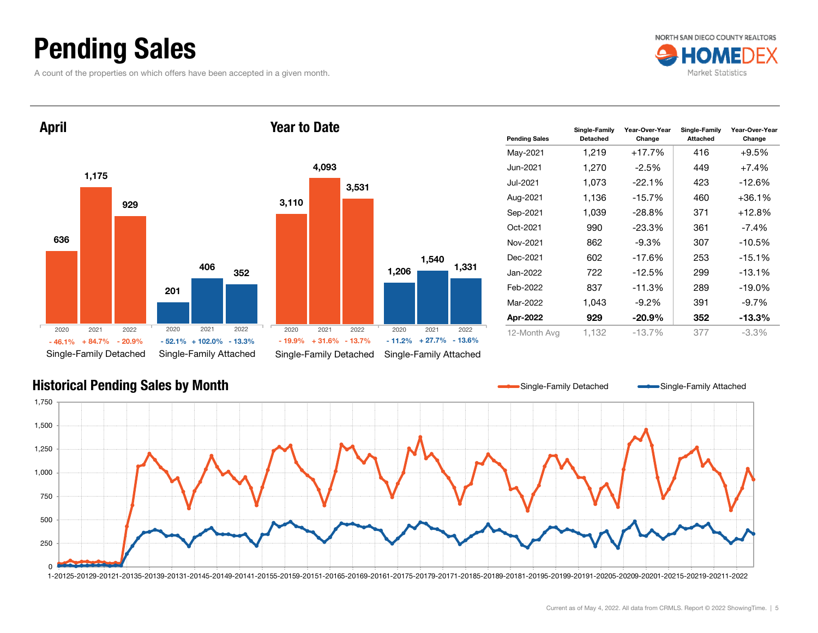## Pending Sales

A count of the properties on which offers have been accepted in a given month.





| IVAI IV DAIV     |                           |                        |                  |                        |                  |                      |
|------------------|---------------------------|------------------------|------------------|------------------------|------------------|----------------------|
|                  |                           |                        |                  |                        |                  | <b>Pending Sales</b> |
|                  |                           |                        |                  |                        |                  | May-2021             |
|                  | 4,093                     |                        |                  |                        |                  | Jun-2021             |
|                  |                           | 3,531                  |                  |                        |                  | Jul-2021             |
| 3,110            |                           |                        |                  |                        |                  | Aug-2021             |
|                  |                           |                        |                  |                        |                  | Sep-2021             |
|                  |                           |                        |                  |                        |                  | Oct-2021             |
|                  |                           |                        |                  |                        |                  | Nov-2021             |
|                  |                           |                        |                  | 1,540                  |                  | Dec-2021             |
|                  |                           |                        | 1,206            |                        | 1,331            | Jan-2022             |
|                  |                           |                        |                  |                        |                  | Feb-2022             |
|                  |                           |                        |                  |                        |                  | Mar-2022             |
|                  |                           |                        |                  |                        |                  | Apr-2022             |
| 2020<br>$-19.9%$ | 2021<br>$+31.6\% -13.7\%$ | 2022                   | 2020<br>$-11.2%$ | 2021<br>$+27.7%$       | 2022<br>$-13.6%$ | 12-Month Avg         |
|                  |                           | Single-Family Detached |                  | Single-Family Attached |                  |                      |

| <b>Pending Sales</b> | Single-Family<br>Detached | Year-Over-Year<br>Change | Single-Family<br><b>Attached</b> | Year-Over-Year<br>Change |
|----------------------|---------------------------|--------------------------|----------------------------------|--------------------------|
| May-2021             | 1,219                     | $+17.7%$                 | 416                              | $+9.5%$                  |
| Jun-2021.            | 1,270                     | $-2.5\%$                 | 449                              | $+7.4%$                  |
| Jul-2021             | 1.073                     | $-22.1%$                 | 423                              | $-12.6%$                 |
| Aug-2021             | 1,136                     | $-15.7%$                 | 460                              | $+36.1%$                 |
| Sep-2021             | 1,039                     | $-28.8%$                 | 371                              | $+12.8%$                 |
| Oct-2021             | 990                       | $-23.3%$                 | 361                              | -7.4%                    |
| Nov-2021             | 862                       | $-9.3%$                  | 307                              | $-10.5%$                 |
| Dec-2021             | 602                       | -17.6%                   | 253                              | $-15.1\%$                |
| Jan-2022             | 722                       | $-12.5%$                 | 299                              | $-13.1%$                 |
| Feb-2022             | 837                       | $-11.3%$                 | 289                              | $-19.0\%$                |
| Mar-2022             | 1,043                     | $-9.2\%$                 | 391                              | $-9.7\%$                 |
| Apr-2022             | 929                       | -20.9%                   | 352                              | -13.3%                   |
| 12-Month Avg         | 1,132                     | $-13.7%$                 | 377                              | $-3.3\%$                 |

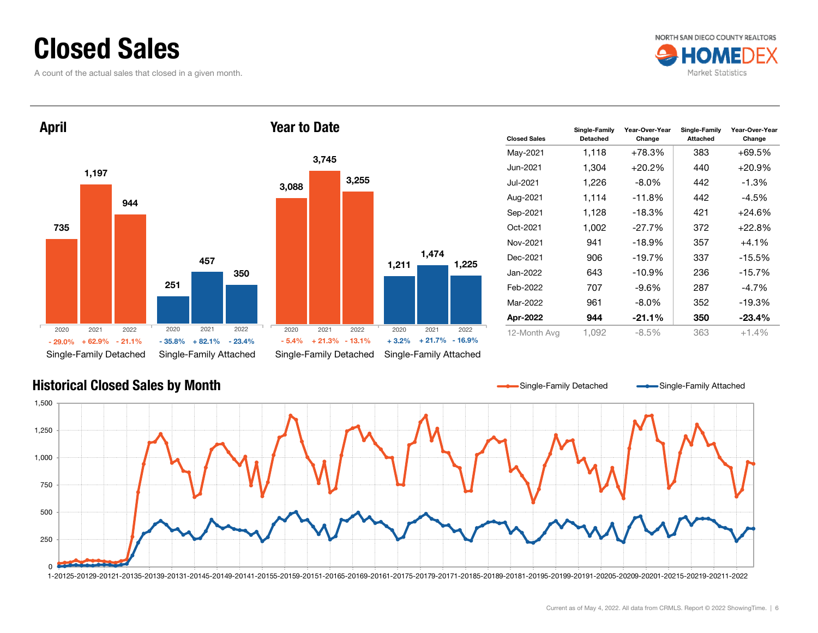## Closed Sales

A count of the actual sales that closed in a given month.





|                          |         | 3,745             |                        |         |                        |       |  |
|--------------------------|---------|-------------------|------------------------|---------|------------------------|-------|--|
|                          | 3,088   |                   | 3,255                  |         |                        |       |  |
|                          |         |                   |                        |         |                        |       |  |
|                          |         |                   |                        |         |                        |       |  |
|                          |         |                   |                        | 1,211   | 1,474                  | 1,225 |  |
| )                        |         |                   |                        |         |                        |       |  |
|                          |         |                   |                        |         |                        |       |  |
|                          |         |                   |                        |         |                        |       |  |
| $\overline{\phantom{a}}$ | 2020    | 2021              | 2022                   | 2020    | 2021                   | 2022  |  |
| $\frac{9}{6}$            | $-5.4%$ | $+21.3\% -13.1\%$ |                        | $+3.2%$ | $+21.7\% -16.9\%$      |       |  |
| эd                       |         |                   | Single-Family Detached |         | Single-Family Attached |       |  |

| <b>Closed Sales</b> | Single-Family<br>Detached | Year-Over-Year<br>Change | Single-Family<br><b>Attached</b> | Year-Over-Year<br>Change |
|---------------------|---------------------------|--------------------------|----------------------------------|--------------------------|
| May-2021            | 1,118                     | $+78.3%$                 | 383                              | +69.5%                   |
| Jun-2021            | 1,304                     | $+20.2%$                 | 440                              | $+20.9%$                 |
| Jul-2021            | 1,226                     | -8.0%                    | 442                              | -1.3%                    |
| Aug-2021            | 1,114                     | $-11.8%$                 | 442                              | $-4.5%$                  |
| Sep-2021            | 1,128                     | $-18.3%$                 | 421                              | +24.6%                   |
| Oct-2021            | 1,002                     | $-27.7%$                 | 372                              | $+22.8%$                 |
| Nov-2021            | 941                       | $-18.9%$                 | 357                              | $+4.1%$                  |
| Dec-2021            | 906                       | $-19.7%$                 | 337                              | $-15.5%$                 |
| Jan-2022            | 643                       | $-10.9%$                 | 236                              | $-15.7%$                 |
| Feb-2022            | 707                       | $-9.6\%$                 | 287                              | -4.7%                    |
| Mar-2022            | 961                       | $-8.0\%$                 | 352                              | $-19.3%$                 |
| Apr-2022            | 944                       | $-21.1%$                 | 350                              | $-23.4%$                 |
| 12-Month Avg        | 1.092                     | $-8.5\%$                 | 363                              | $+1.4%$                  |

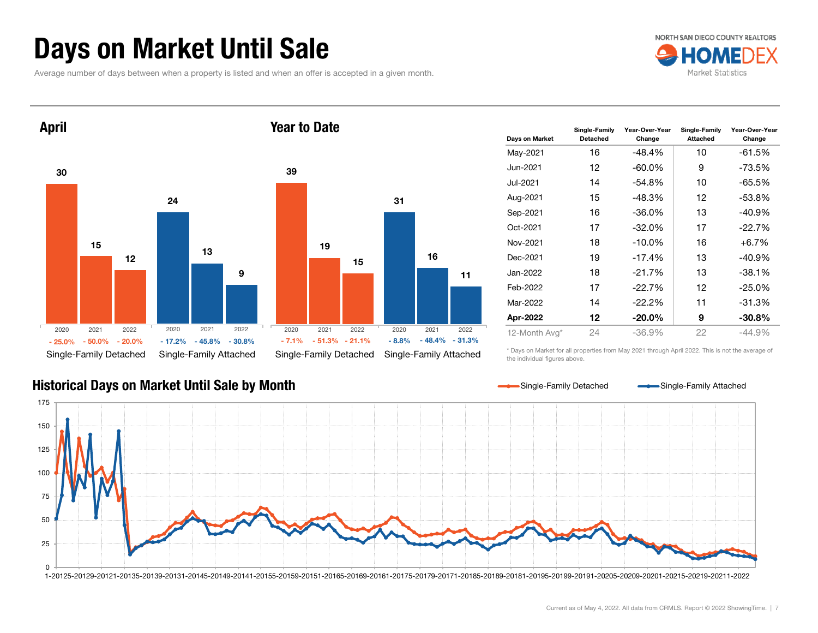## Days on Market Until Sale

Average number of days between when a property is listed and when an offer is accepted in a given month.





|    | 39      |      |                        |         |                        |          |  |
|----|---------|------|------------------------|---------|------------------------|----------|--|
|    |         |      |                        | 31      |                        |          |  |
|    |         |      |                        |         |                        |          |  |
|    |         | 19   |                        |         | 16                     |          |  |
|    |         |      | 15                     |         |                        | 11       |  |
|    |         |      |                        |         |                        |          |  |
|    |         |      |                        |         |                        |          |  |
|    |         |      |                        |         |                        |          |  |
|    | 2020    | 2021 | 2022                   | 2020    | 2021                   | 2022     |  |
| ℅  | $-7.1%$ |      | $-51.3\% -21.1\%$      | $-8.8%$ | $-48.4%$               | $-31.3%$ |  |
| эd |         |      | Single-Family Detached |         | Single-Family Attached |          |  |

| <b>Davs on Market</b> | Single-Family<br><b>Detached</b> | Year-Over-Year<br>Change | Single-Family<br><b>Attached</b> | Year-Over-Year<br>Change |
|-----------------------|----------------------------------|--------------------------|----------------------------------|--------------------------|
| May-2021              | 16                               | $-48.4%$                 | 10                               | $-61.5%$                 |
| Jun-2021              | 12                               | $-60.0\%$                | 9                                | $-73.5%$                 |
| Jul-2021              | 14                               | -54.8%                   | 10                               | -65.5%                   |
| Aug-2021              | 15                               | $-48.3%$                 | 12                               | $-53.8%$                 |
| Sep-2021              | 16                               | $-36.0\%$                | 13                               | $-40.9%$                 |
| Oct-2021              | 17                               | $-32.0%$                 | 17                               | $-22.7%$                 |
| Nov-2021              | 18                               | $-10.0\%$                | 16                               | $+6.7\%$                 |
| Dec-2021              | 19                               | $-17.4%$                 | 13                               | $-40.9%$                 |
| Jan-2022              | 18                               | $-21.7%$                 | 13                               | $-38.1%$                 |
| Feb-2022              | 17                               | $-22.7%$                 | 12                               | $-25.0%$                 |
| Mar-2022              | 14                               | $-22.2\%$                | 11                               | $-31.3%$                 |
| Apr-2022              | 12                               | $-20.0\%$                | 9                                | $-30.8%$                 |
| 12-Month Avg*         | 24                               | $-36.9\%$                | 22                               | $-44.9\%$                |

\* Days on Market for all properties from May 2021 through April 2022. This is not the average of the individual figures above.

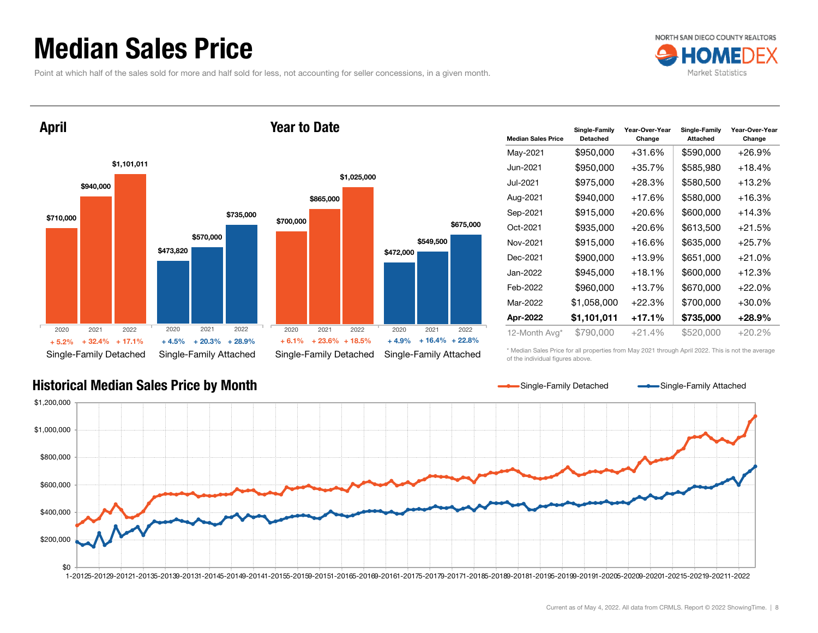## Median Sales Price

Point at which half of the sales sold for more and half sold for less, not accounting for seller concessions, in a given month.



April

#### Year to Date



|                           | Single-Family   | Year-Over-Year | Single-Family   | Year-Over-Year |
|---------------------------|-----------------|----------------|-----------------|----------------|
| <b>Median Sales Price</b> | <b>Detached</b> | Change         | <b>Attached</b> | Change         |
| May-2021                  | \$950,000       | +31.6%         | \$590,000       | $+26.9%$       |
| Jun-2021                  | \$950,000       | +35.7%         | \$585,980       | $+18.4%$       |
| Jul-2021                  | \$975,000       | $+28.3%$       | \$580,500       | $+13.2%$       |
| Aug-2021                  | \$940,000       | +17.6%         | \$580,000       | $+16.3%$       |
| Sep-2021                  | \$915,000       | +20.6%         | \$600,000       | $+14.3%$       |
| Oct-2021                  | \$935,000       | $+20.6%$       | \$613,500       | $+21.5%$       |
| Nov-2021                  | \$915,000       | $+16.6%$       | \$635,000       | $+25.7%$       |
| Dec-2021                  | \$900,000       | $+13.9%$       | \$651,000       | $+21.0%$       |
| Jan-2022                  | \$945,000       | $+18.1%$       | \$600,000       | $+12.3%$       |
| Feb-2022                  | \$960,000       | $+13.7%$       | \$670,000       | $+22.0%$       |
| Mar-2022                  | \$1,058,000     | $+22.3%$       | \$700,000       | $+30.0\%$      |
| Apr-2022                  | \$1,101,011     | +17.1%         | \$735,000       | $+28.9\%$      |
| 12-Month Avg*             | \$790,000       | $+21.4%$       | \$520,000       | $+20.2\%$      |

\* Median Sales Price for all properties from May 2021 through April 2022. This is not the average of the individual figures above.



#### Current as of May 4, 2022. All data from CRMLS. Report © 2022 ShowingTime. | 8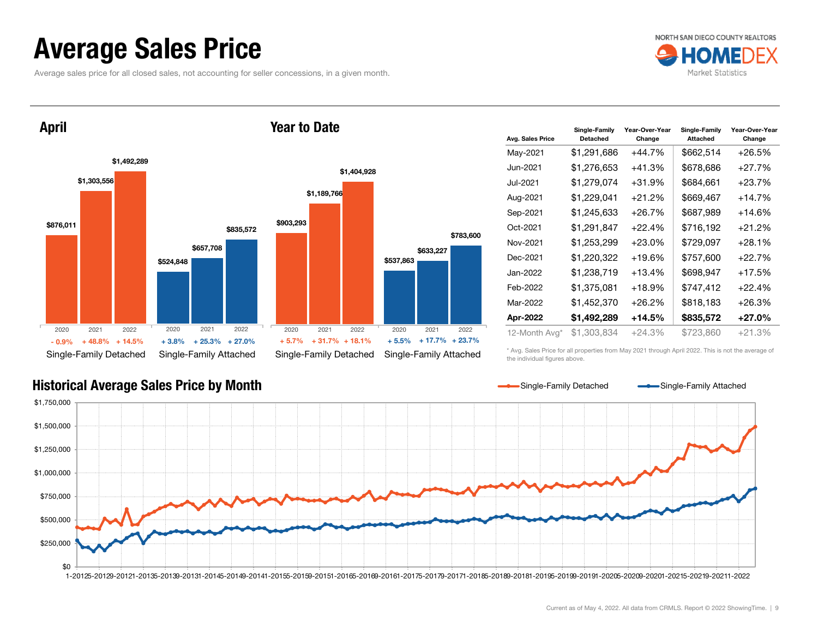## Average Sales Price

Average sales price for all closed sales, not accounting for seller concessions, in a given month.



\$876,011 \$524,848 \$1,303,556 \$657,708 \$1,492,289

2020

April

2020

- 0.9%

 2021 2022+ 48.8%

#### Year to Date



| Avg. Sales Price | Single-Family<br><b>Detached</b> | Year-Over-Year<br>Change | Single-Family<br><b>Attached</b> | Year-Over-Year<br>Change |
|------------------|----------------------------------|--------------------------|----------------------------------|--------------------------|
| May-2021         | \$1,291,686                      | +44.7%                   | \$662,514                        | $+26.5%$                 |
| Jun-2021         | \$1,276,653                      | +41.3%                   | \$678,686                        | $+27.7%$                 |
| Jul-2021         | \$1,279,074                      | +31.9%                   | \$684,661                        | $+23.7%$                 |
| Aug-2021         | \$1,229,041                      | $+21.2%$                 | \$669,467                        | $+14.7%$                 |
| Sep-2021         | \$1,245,633                      | +26.7%                   | \$687,989                        | +14.6%                   |
| Oct-2021         | \$1,291,847                      | $+22.4%$                 | \$716,192                        | $+21.2%$                 |
| Nov-2021         | \$1,253,299                      | $+23.0%$                 | \$729,097                        | $+28.1%$                 |
| Dec-2021         | \$1,220,322                      | +19.6%                   | \$757,600                        | $+22.7%$                 |
| Jan-2022         | \$1,238,719                      | +13.4%                   | \$698,947                        | +17.5%                   |
| Feb-2022         | \$1,375,081                      | $+18.9%$                 | \$747,412                        | $+22.4%$                 |
| Mar-2022         | \$1,452,370                      | $+26.2%$                 | \$818,183                        | $+26.3%$                 |
| Apr-2022         | \$1,492,289                      | +14.5%                   | \$835,572                        | +27.0%                   |
| 12-Month Avg*    | \$1,303,834                      | +24.3%                   | \$723,860                        | +21.3%                   |

\* Avg. Sales Price for all properties from May 2021 through April 2022. This is not the average of the individual figures above.



Current as of May 4, 2022. All data from CRMLS. Report © 2022 ShowingTime. | 9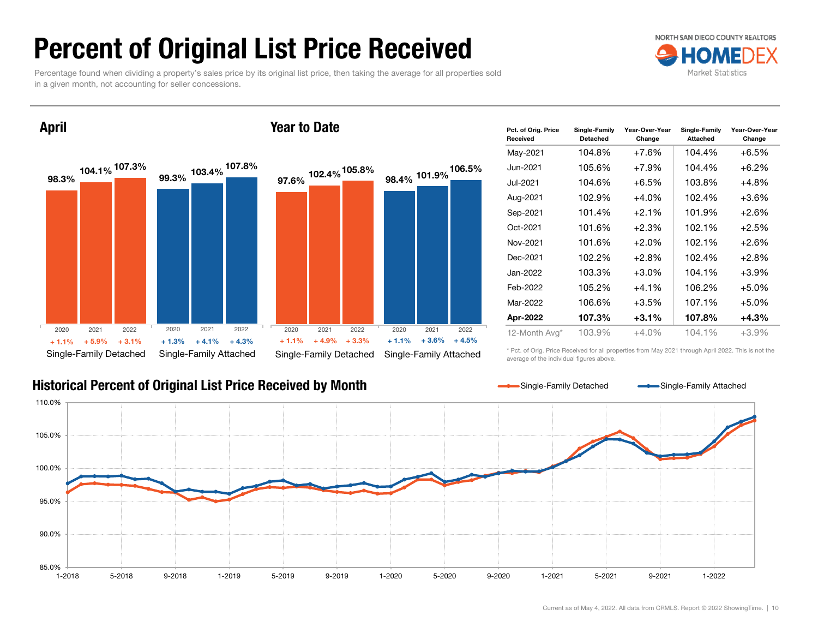# Percent of Original List Price Received

Percentage found when dividing a property's sales price by its original list price, then taking the average for all properties sold in a given month, not accounting for seller concessions.



April

#### Year to Date



### Historical Percent of Original List Price Received by Month

| Pct. of Orig. Price<br>Received | Single-Family<br>Detached | Year-Over-Year<br>Change | Single-Family<br><b>Attached</b> | Year-Over-Year<br>Change |
|---------------------------------|---------------------------|--------------------------|----------------------------------|--------------------------|
| May-2021                        | 104.8%                    | $+7.6%$                  | 104.4%                           | $+6.5%$                  |
| Jun-2021                        | 105.6%                    | $+7.9%$                  | 104.4%                           | $+6.2\%$                 |
| Jul-2021                        | 104.6%                    | $+6.5%$                  | 103.8%                           | $+4.8%$                  |
| Aug-2021                        | 102.9%                    | $+4.0%$                  | 102.4%                           | +3.6%                    |
| Sep-2021                        | 101.4%                    | $+2.1%$                  | 101.9%                           | $+2.6%$                  |
| Oct-2021                        | 101.6%                    | $+2.3%$                  | 102.1%                           | $+2.5%$                  |
| Nov-2021                        | 101.6%                    | $+2.0%$                  | 102.1%                           | $+2.6%$                  |
| Dec-2021                        | 102.2%                    | $+2.8%$                  | 102.4%                           | $+2.8%$                  |
| Jan-2022                        | 103.3%                    | $+3.0\%$                 | 104.1%                           | $+3.9\%$                 |
| Feb-2022                        | 105.2%                    | $+4.1%$                  | 106.2%                           | $+5.0%$                  |
| Mar-2022                        | 106.6%                    | $+3.5%$                  | 107.1%                           | $+5.0%$                  |
| Apr-2022                        | 107.3%                    | $+3.1%$                  | 107.8%                           | $+4.3%$                  |
| 12-Month Avg*                   | 103.9%                    | $+4.0\%$                 | 104.1%                           | $+3.9\%$                 |

\* Pct. of Orig. Price Received for all properties from May 2021 through April 2022. This is not the average of the individual figures above.

Single-Family Detached Single-Family Attached

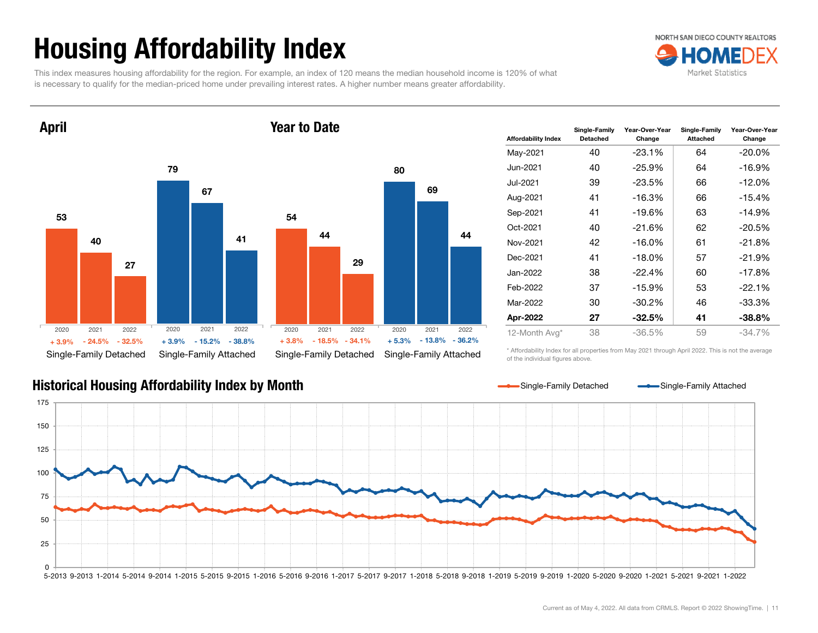# Housing Affordability Index

This index measures housing affordability for the region. For example, an index of 120 means the median household income is 120% of what is necessary to qualify for the median-priced home under prevailing interest rates. A higher number means greater affordability.



Year to Date



| Affordability Index | Single-Family<br><b>Detached</b> | Year-Over-Year<br>Change | Single-Family<br><b>Attached</b> | Year-Over-Year<br>Change |  |  |
|---------------------|----------------------------------|--------------------------|----------------------------------|--------------------------|--|--|
| May-2021            | 40                               | $-23.1%$                 | 64                               | $-20.0%$                 |  |  |
| Jun-2021            | 40                               | $-25.9%$                 | 64                               | $-16.9%$                 |  |  |
| Jul-2021            | 39                               | $-23.5%$                 | 66                               | $-12.0%$                 |  |  |
| Aug-2021            | 41                               | $-16.3%$                 | 66                               | $-15.4%$                 |  |  |
| Sep-2021            | 41                               | $-19.6%$                 | 63                               | $-14.9%$                 |  |  |
| Oct-2021            | 40                               | $-21.6%$                 | 62                               | $-20.5%$                 |  |  |
| Nov-2021            | 42                               | $-16.0\%$                | 61                               | $-21.8%$                 |  |  |
| Dec-2021            | 41                               | $-18.0\%$                | 57                               | $-21.9%$                 |  |  |
| Jan-2022            | 38                               | $-22.4%$                 | 60                               | $-17.8%$                 |  |  |
| Feb-2022            | 37                               | $-15.9%$                 | 53                               | $-22.1%$                 |  |  |
| Mar-2022            | 30                               | $-30.2%$                 | 46                               | $-33.3%$                 |  |  |
| Apr-2022            | 27                               | $-32.5%$                 | 41                               | $-38.8%$                 |  |  |
| 12-Month Avg*       | 38                               | -36.5%                   | 59                               | -34.7%                   |  |  |

Historical Housing Affordability Index by Month

\* Affordability Index for all properties from May 2021 through April 2022. This is not the average of the individual figures above.

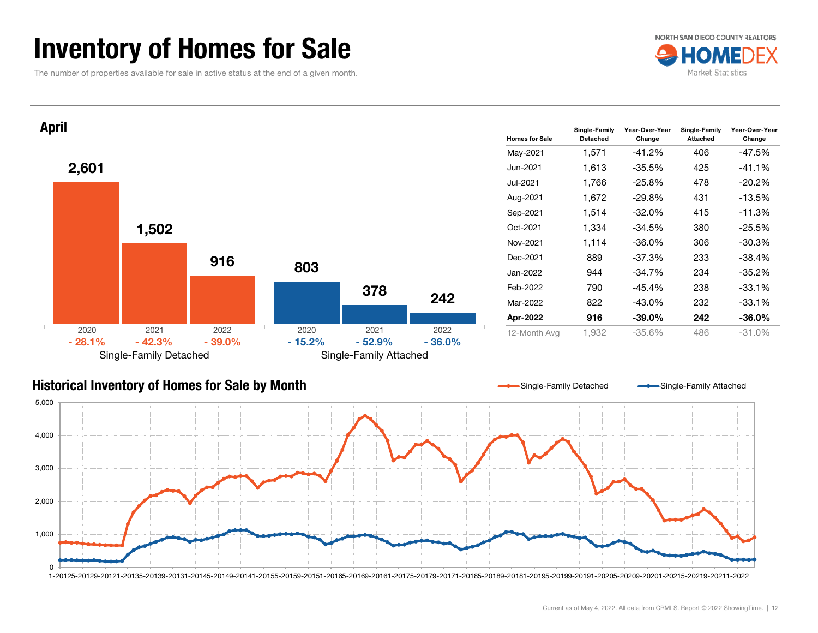## Inventory of Homes for Sale

The number of properties available for sale in active status at the end of a given month.





#### Historical Inventory of Homes for Sale by Month



Single-Family Detached Single-Family Attached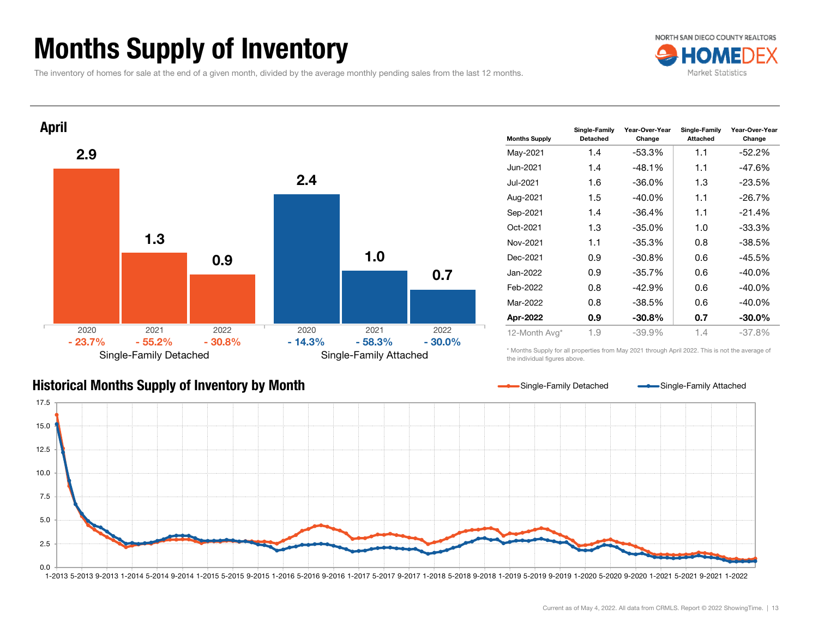## Months Supply of Inventory

The inventory of homes for sale at the end of a given month, divided by the average monthly pending sales from the last 12 months.





| <b>Months Supply</b> | Single-Family<br>Detached | Year-Over-Year<br>Change | Single-Family<br><b>Attached</b> | Year-Over-Year<br>Change |  |
|----------------------|---------------------------|--------------------------|----------------------------------|--------------------------|--|
| May-2021             | 1.4                       | $-53.3%$                 | 1.1                              | $-52.2\%$                |  |
| Jun-2021             | 1.4                       | $-48.1%$                 | 1.1                              | -47.6%                   |  |
| Jul-2021             | 1.6                       | $-36.0\%$                | 1.3                              | $-23.5%$                 |  |
| Aug-2021             | 1.5                       | $-40.0\%$                | 1.1                              | $-26.7%$                 |  |
| Sep-2021             | 1.4                       | $-36.4%$                 | 1.1                              | $-21.4%$                 |  |
| Oct-2021             | 1.3                       | $-35.0%$                 | 1.0                              | $-33.3%$                 |  |
| Nov-2021             | 1.1                       | $-35.3%$                 | 0.8                              | $-38.5%$                 |  |
| Dec-2021             | 0.9                       | $-30.8%$                 | 0.6                              | $-45.5%$                 |  |
| Jan-2022             | 0.9                       | $-35.7%$                 | 0.6                              | $-40.0\%$                |  |
| Feb-2022             | 0.8                       | $-42.9%$                 | 0.6                              | -40.0%                   |  |
| Mar-2022             | 0.8                       | $-38.5%$                 | 0.6                              |                          |  |
| Apr-2022             | 0.9                       | $-30.8%$                 | 0.7                              | $-30.0\%$                |  |
| 12-Month Avg*        | 1.9                       | $-39.9%$                 | 1.4                              | $-37.8%$                 |  |

\* Months Supply for all properties from May 2021 through April 2022. This is not the average of the individual figures above.